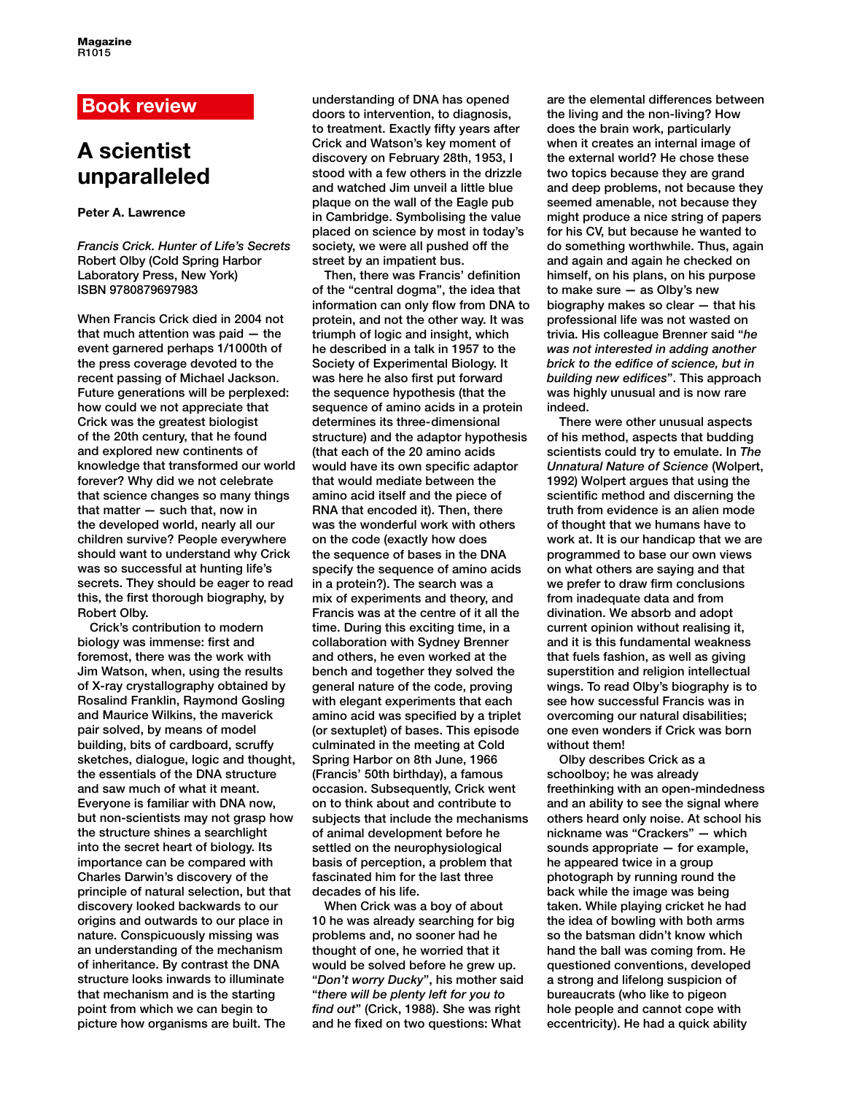# **A scientist unparalleled**

# **Peter A. Lawrence**

*Francis Crick. Hunter of Life's Secrets* Robert Olby (Cold Spring Harbor Laboratory Press, New York) ISBN 9780879697983

When Francis Crick died in 2004 not that much attention was paid — the event garnered perhaps 1/1000th of the press coverage devoted to the recent passing of Michael Jackson. Future generations will be perplexed: how could we not appreciate that Crick was the greatest biologist of the 20th century, that he found and explored new continents of knowledge that transformed our world forever? Why did we not celebrate that science changes so many things that matter — such that, now in the developed world, nearly all our children survive? People everywhere should want to understand why Crick was so successful at hunting life's secrets. They should be eager to read this, the first thorough biography, by Robert Olby.

Crick's contribution to modern biology was immense: first and foremost, there was the work with Jim Watson, when, using the results of X-ray crystallography obtained by Rosalind Franklin, Raymond Gosling and Maurice Wilkins, the maverick pair solved, by means of model building, bits of cardboard, scruffy sketches, dialogue, logic and thought, the essentials of the DNA structure and saw much of what it meant. Everyone is familiar with DNA now, but non-scientists may not grasp how the structure shines a searchlight into the secret heart of biology. Its importance can be compared with Charles Darwin's discovery of the principle of natural selection, but that discovery looked backwards to our origins and outwards to our place in nature. Conspicuously missing was an understanding of the mechanism of inheritance. By contrast the DNA structure looks inwards to illuminate that mechanism and is the starting point from which we can begin to picture how organisms are built. The

doors to intervention, to diagnosis, to treatment. Exactly fifty years after Crick and Watson's key moment of discovery on February 28th, 1953, I stood with a few others in the drizzle and watched Jim unveil a little blue plaque on the wall of the Eagle pub in Cambridge. Symbolising the value placed on science by most in today's society, we were all pushed off the street by an impatient bus.

Then, there was Francis' definition of the "central dogma", the idea that information can only flow from DNA to protein, and not the other way. It was triumph of logic and insight, which he described in a talk in 1957 to the Society of Experimental Biology. It was here he also first put forward the sequence hypothesis (that the sequence of amino acids in a protein determines its three-dimensional structure) and the adaptor hypothesis (that each of the 20 amino acids would have its own specific adaptor that would mediate between the amino acid itself and the piece of RNA that encoded it). Then, there was the wonderful work with others on the code (exactly how does the sequence of bases in the DNA specify the sequence of amino acids in a protein?). The search was a mix of experiments and theory, and Francis was at the centre of it all the time. During this exciting time, in a collaboration with Sydney Brenner and others, he even worked at the bench and together they solved the general nature of the code, proving with elegant experiments that each amino acid was specified by a triplet (or sextuplet) of bases. This episode culminated in the meeting at Cold Spring Harbor on 8th June, 1966 (Francis' 50th birthday), a famous occasion. Subsequently, Crick went on to think about and contribute to subjects that include the mechanisms of animal development before he settled on the neurophysiological basis of perception, a problem that fascinated him for the last three decades of his life.

When Crick was a boy of about 10 he was already searching for big problems and, no sooner had he thought of one, he worried that it would be solved before he grew up. "*Don't worry Ducky*", his mother said "*there will be plenty left for you to find out*" (Crick, 1988). She was right and he fixed on two questions: What

**Book review** understanding of DNA has opened are the elemental differences between<br>doors to intervention to diagnosis the living and the non-living? How the living and the non-living? How does the brain work, particularly when it creates an internal image of the external world? He chose these two topics because they are grand and deep problems, not because they seemed amenable, not because they might produce a nice string of papers for his CV, but because he wanted to do something worthwhile. Thus, again and again and again he checked on himself, on his plans, on his purpose to make sure — as Olby's new biography makes so clear — that his professional life was not wasted on trivia. His colleague Brenner said "*he was not interested in adding another brick to the edifice of science, but in building new edifices*". This approach was highly unusual and is now rare indeed.

> There were other unusual aspects of his method, aspects that budding scientists could try to emulate. In *The Unnatural Nature of Science* (Wolpert, 1992) Wolpert argues that using the scientific method and discerning the truth from evidence is an alien mode of thought that we humans have to work at. It is our handicap that we are programmed to base our own views on what others are saying and that we prefer to draw firm conclusions from inadequate data and from divination. We absorb and adopt current opinion without realising it, and it is this fundamental weakness that fuels fashion, as well as giving superstition and religion intellectual wings. To read Olby's biography is to see how successful Francis was in overcoming our natural disabilities; one even wonders if Crick was born without them!

> Olby describes Crick as a schoolboy; he was already freethinking with an open-mindedness and an ability to see the signal where others heard only noise. At school his nickname was "Crackers" — which sounds appropriate — for example, he appeared twice in a group photograph by running round the back while the image was being taken. While playing cricket he had the idea of bowling with both arms so the batsman didn't know which hand the ball was coming from. He questioned conventions, developed a strong and lifelong suspicion of bureaucrats (who like to pigeon hole people and cannot cope with eccentricity). He had a quick ability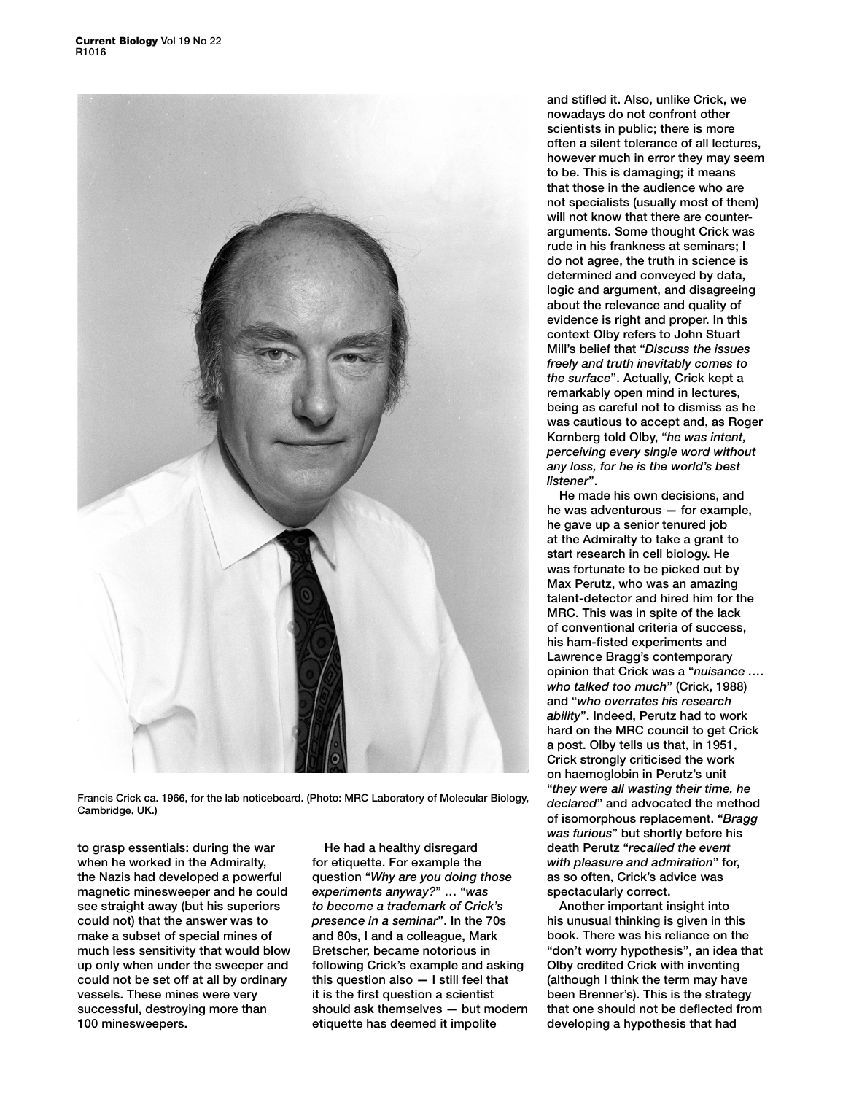

Francis Crick ca. 1966, for the lab noticeboard. (Photo: MRC Laboratory of Molecular Biology, Cambridge, UK.)

to grasp essentials: during the war when he worked in the Admiralty, the Nazis had developed a powerful magnetic minesweeper and he could see straight away (but his superiors could not) that the answer was to make a subset of special mines of much less sensitivity that would blow up only when under the sweeper and could not be set off at all by ordinary vessels. These mines were very successful, destroying more than 100 minesweepers.

He had a healthy disregard for etiquette. For example the question "*Why are you doing those experiments anyway?*" … "*was to become a trademark of Crick's presence in a seminar*". In the 70s and 80s, I and a colleague, Mark Bretscher, became notorious in following Crick's example and asking this question also — I still feel that it is the first question a scientist should ask themselves — but modern etiquette has deemed it impolite

and stifled it. Also, unlike Crick, we nowadays do not confront other scientists in public; there is more often a silent tolerance of all lectures, however much in error they may seem to be. This is damaging; it means that those in the audience who are not specialists (usually most of them) will not know that there are counterarguments. Some thought Crick was rude in his frankness at seminars; I do not agree, the truth in science is determined and conveyed by data, logic and argument, and disagreeing about the relevance and quality of evidence is right and proper. In this context Olby refers to John Stuart Mill's belief that "*Discuss the issues freely and truth inevitably comes to the surface*". Actually, Crick kept a remarkably open mind in lectures, being as careful not to dismiss as he was cautious to accept and, as Roger Kornberg told Olby, "*he was intent, perceiving every single word without any loss, for he is the world's best listener*".

He made his own decisions, and he was adventurous — for example, he gave up a senior tenured job at the Admiralty to take a grant to start research in cell biology. He was fortunate to be picked out by Max Perutz, who was an amazing talent-detector and hired him for the MRC. This was in spite of the lack of conventional criteria of success, his ham-fisted experiments and Lawrence Bragg's contemporary opinion that Crick was a "*nuisance …. who talked too much*" (Crick, 1988) and "*who overrates his research ability*". Indeed, Perutz had to work hard on the MRC council to get Crick a post. Olby tells us that, in 1951, Crick strongly criticised the work on haemoglobin in Perutz's unit "*they were all wasting their time, he declared*" and advocated the method of isomorphous replacement. "*Bragg was furious*" but shortly before his death Perutz "*recalled the event with pleasure and admiration*" for, as so often, Crick's advice was spectacularly correct.

Another important insight into his unusual thinking is given in this book. There was his reliance on the "don't worry hypothesis", an idea that Olby credited Crick with inventing (although I think the term may have been Brenner's). This is the strategy that one should not be deflected from developing a hypothesis that had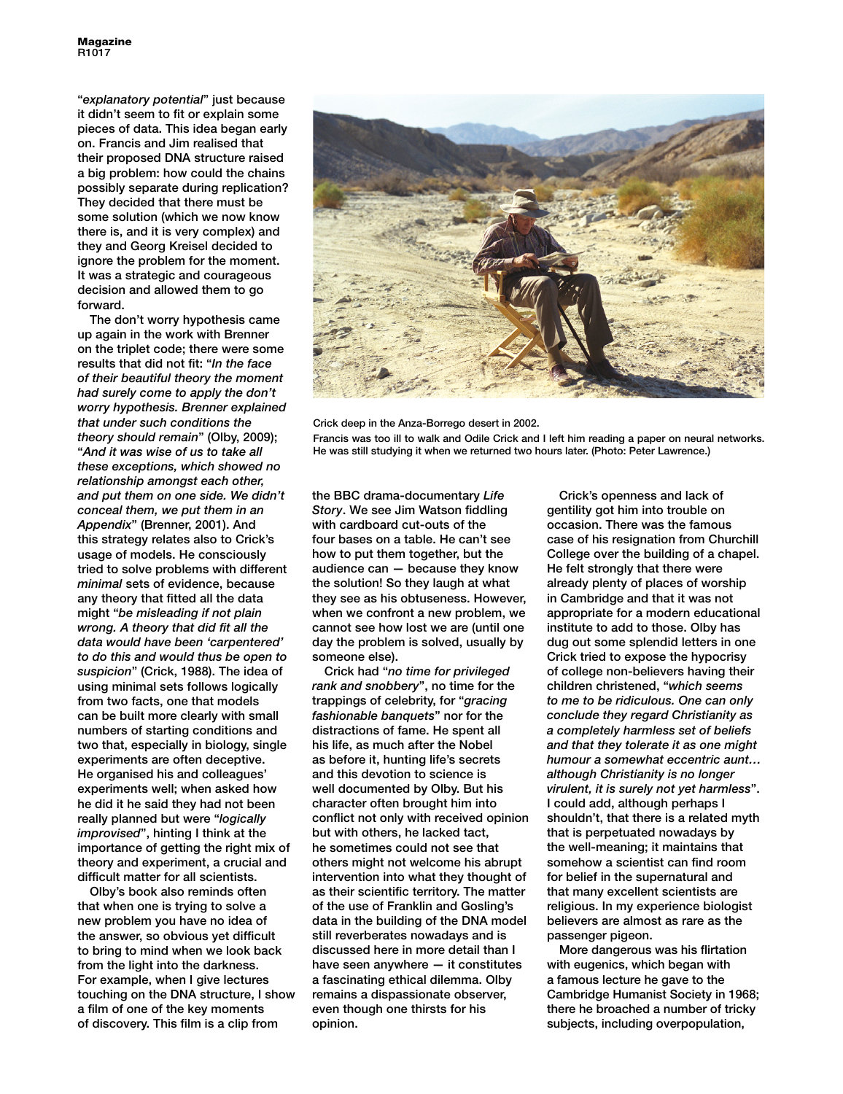"*explanatory potential*" just because it didn't seem to fit or explain some pieces of data. This idea began early on. Francis and Jim realised that their proposed DNA structure raised a big problem: how could the chains possibly separate during replication? They decided that there must be some solution (which we now know there is, and it is very complex) and they and Georg Kreisel decided to ignore the problem for the moment. It was a strategic and courageous decision and allowed them to go forward.

The don't worry hypothesis came up again in the work with Brenner on the triplet code; there were some results that did not fit: "*In the face of their beautiful theory the moment had surely come to apply the don't worry hypothesis. Brenner explained that under such conditions the theory should remain*" (Olby, 2009); "*And it was wise of us to take all these exceptions, which showed no relationship amongst each other, and put them on one side. We didn't conceal them, we put them in an Appendix*" (Brenner, 2001). And this strategy relates also to Crick's usage of models. He consciously tried to solve problems with different *minimal* sets of evidence, because any theory that fitted all the data might "*be misleading if not plain wrong. A theory that did fit all the data would have been 'carpentered' to do this and would thus be open to suspicion*" (Crick, 1988). The idea of using minimal sets follows logically from two facts, one that models can be built more clearly with small numbers of starting conditions and two that, especially in biology, single experiments are often deceptive. He organised his and colleagues' experiments well; when asked how he did it he said they had not been really planned but were "*logically improvised*", hinting I think at the importance of getting the right mix of theory and experiment, a crucial and difficult matter for all scientists.

Olby's book also reminds often that when one is trying to solve a new problem you have no idea of the answer, so obvious yet difficult to bring to mind when we look back from the light into the darkness. For example, when I give lectures touching on the DNA structure, I show a film of one of the key moments of discovery. This film is a clip from



Crick deep in the Anza-Borrego desert in 2002.

Francis was too ill to walk and Odile Crick and I left him reading a paper on neural networks. He was still studying it when we returned two hours later. (Photo: Peter Lawrence.)

the BBC drama-documentary *Life Story*. We see Jim Watson fiddling with cardboard cut-outs of the four bases on a table. He can't see how to put them together, but the audience can — because they know the solution! So they laugh at what they see as his obtuseness. However, when we confront a new problem, we cannot see how lost we are (until one day the problem is solved, usually by someone else).

Crick had "*no time for privileged rank and snobbery*", no time for the trappings of celebrity, for "*gracing fashionable banquets*" nor for the distractions of fame. He spent all his life, as much after the Nobel as before it, hunting life's secrets and this devotion to science is well documented by Olby. But his character often brought him into conflict not only with received opinion but with others, he lacked tact, he sometimes could not see that others might not welcome his abrupt intervention into what they thought of as their scientific territory. The matter of the use of Franklin and Gosling's data in the building of the DNA model still reverberates nowadays and is discussed here in more detail than I have seen anywhere — it constitutes a fascinating ethical dilemma. Olby remains a dispassionate observer, even though one thirsts for his opinion.

Crick's openness and lack of gentility got him into trouble on occasion. There was the famous case of his resignation from Churchill College over the building of a chapel. He felt strongly that there were already plenty of places of worship in Cambridge and that it was not appropriate for a modern educational institute to add to those. Olby has dug out some splendid letters in one Crick tried to expose the hypocrisy of college non-believers having their children christened, "*which seems to me to be ridiculous. One can only conclude they regard Christianity as a completely harmless set of beliefs and that they tolerate it as one might humour a somewhat eccentric aunt… although Christianity is no longer virulent, it is surely not yet harmless*". I could add, although perhaps I shouldn't, that there is a related myth that is perpetuated nowadays by the well-meaning; it maintains that somehow a scientist can find room for belief in the supernatural and that many excellent scientists are religious. In my experience biologist believers are almost as rare as the passenger pigeon.

More dangerous was his flirtation with eugenics, which began with a famous lecture he gave to the Cambridge Humanist Society in 1968; there he broached a number of tricky subjects, including overpopulation,